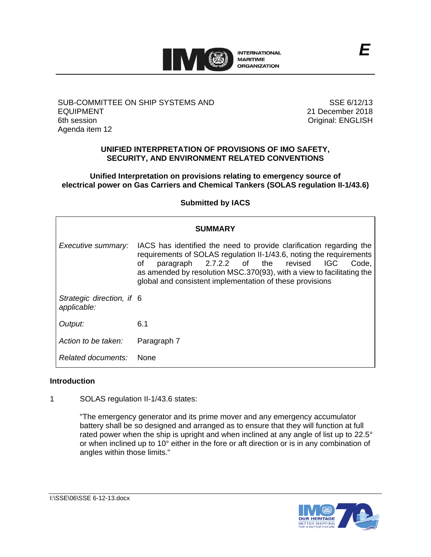

SUB-COMMITTEE ON SHIP SYSTEMS AND EQUIPMENT 6th session Agenda item 12

SSE 6/12/13 21 December 2018 Original: ENGLISH

# **UNIFIED INTERPRETATION OF PROVISIONS OF IMO SAFETY, SECURITY, AND ENVIRONMENT RELATED CONVENTIONS**

**Unified Interpretation on provisions relating to emergency source of electrical power on Gas Carriers and Chemical Tankers (SOLAS regulation II-1/43.6)**

**Submitted by IACS**

| <b>SUMMARY</b>                           |                                                                                                                                                                                                                                                                                                                                                  |
|------------------------------------------|--------------------------------------------------------------------------------------------------------------------------------------------------------------------------------------------------------------------------------------------------------------------------------------------------------------------------------------------------|
| Executive summary:                       | IACS has identified the need to provide clarification regarding the<br>requirements of SOLAS regulation II-1/43.6, noting the requirements<br>paragraph 2.7.2.2 of the revised<br><b>IGC</b><br>οf<br>Code.<br>as amended by resolution MSC.370(93), with a view to facilitating the<br>global and consistent implementation of these provisions |
| Strategic direction, if 6<br>applicable: |                                                                                                                                                                                                                                                                                                                                                  |
| Output:                                  | 6.1                                                                                                                                                                                                                                                                                                                                              |
| Action to be taken:                      | Paragraph 7                                                                                                                                                                                                                                                                                                                                      |
| Related documents:                       | <b>None</b>                                                                                                                                                                                                                                                                                                                                      |

# **Introduction**

1 SOLAS regulation II-1/43.6 states:

"The emergency generator and its prime mover and any emergency accumulator battery shall be so designed and arranged as to ensure that they will function at full rated power when the ship is upright and when inclined at any angle of list up to 22.5° or when inclined up to 10° either in the fore or aft direction or is in any combination of angles within those limits."

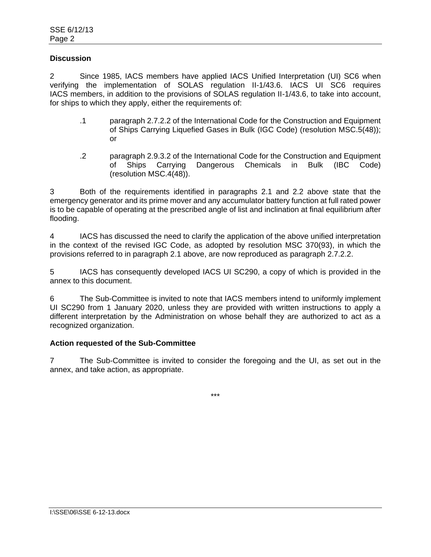# **Discussion**

2 Since 1985, IACS members have applied IACS Unified Interpretation (UI) SC6 when verifying the implementation of SOLAS regulation II-1/43.6. IACS UI SC6 requires IACS members, in addition to the provisions of SOLAS regulation II-1/43.6, to take into account, for ships to which they apply, either the requirements of:

- .1 paragraph 2.7.2.2 of the International Code for the Construction and Equipment of Ships Carrying Liquefied Gases in Bulk (IGC Code) (resolution MSC.5(48)); or
- .2 paragraph 2.9.3.2 of the International Code for the Construction and Equipment of Ships Carrying Dangerous Chemicals in Bulk (IBC Code) (resolution MSC.4(48)).

3 Both of the requirements identified in paragraphs 2.1 and 2.2 above state that the emergency generator and its prime mover and any accumulator battery function at full rated power is to be capable of operating at the prescribed angle of list and inclination at final equilibrium after flooding.

4 IACS has discussed the need to clarify the application of the above unified interpretation in the context of the revised IGC Code, as adopted by resolution MSC 370(93), in which the provisions referred to in paragraph 2.1 above, are now reproduced as paragraph 2.7.2.2.

5 IACS has consequently developed IACS UI SC290, a copy of which is provided in the annex to this document.

6 The Sub-Committee is invited to note that IACS members intend to uniformly implement UI SC290 from 1 January 2020, unless they are provided with written instructions to apply a different interpretation by the Administration on whose behalf they are authorized to act as a recognized organization.

# **Action requested of the Sub-Committee**

7 The Sub-Committee is invited to consider the foregoing and the UI, as set out in the annex, and take action, as appropriate.

\*\*\*